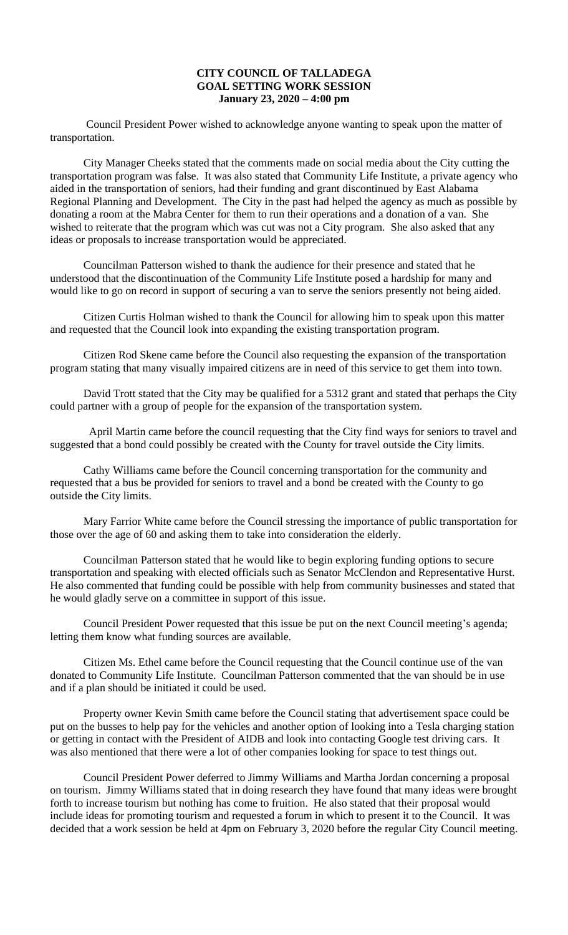## **CITY COUNCIL OF TALLADEGA GOAL SETTING WORK SESSION January 23, 2020 – 4:00 pm**

Council President Power wished to acknowledge anyone wanting to speak upon the matter of transportation.

City Manager Cheeks stated that the comments made on social media about the City cutting the transportation program was false. It was also stated that Community Life Institute, a private agency who aided in the transportation of seniors, had their funding and grant discontinued by East Alabama Regional Planning and Development. The City in the past had helped the agency as much as possible by donating a room at the Mabra Center for them to run their operations and a donation of a van. She wished to reiterate that the program which was cut was not a City program. She also asked that any ideas or proposals to increase transportation would be appreciated.

Councilman Patterson wished to thank the audience for their presence and stated that he understood that the discontinuation of the Community Life Institute posed a hardship for many and would like to go on record in support of securing a van to serve the seniors presently not being aided.

Citizen Curtis Holman wished to thank the Council for allowing him to speak upon this matter and requested that the Council look into expanding the existing transportation program.

Citizen Rod Skene came before the Council also requesting the expansion of the transportation program stating that many visually impaired citizens are in need of this service to get them into town.

David Trott stated that the City may be qualified for a 5312 grant and stated that perhaps the City could partner with a group of people for the expansion of the transportation system.

 April Martin came before the council requesting that the City find ways for seniors to travel and suggested that a bond could possibly be created with the County for travel outside the City limits.

Cathy Williams came before the Council concerning transportation for the community and requested that a bus be provided for seniors to travel and a bond be created with the County to go outside the City limits.

Mary Farrior White came before the Council stressing the importance of public transportation for those over the age of 60 and asking them to take into consideration the elderly.

Councilman Patterson stated that he would like to begin exploring funding options to secure transportation and speaking with elected officials such as Senator McClendon and Representative Hurst. He also commented that funding could be possible with help from community businesses and stated that he would gladly serve on a committee in support of this issue.

Council President Power requested that this issue be put on the next Council meeting's agenda; letting them know what funding sources are available.

Citizen Ms. Ethel came before the Council requesting that the Council continue use of the van donated to Community Life Institute. Councilman Patterson commented that the van should be in use and if a plan should be initiated it could be used.

Property owner Kevin Smith came before the Council stating that advertisement space could be put on the busses to help pay for the vehicles and another option of looking into a Tesla charging station or getting in contact with the President of AIDB and look into contacting Google test driving cars. It was also mentioned that there were a lot of other companies looking for space to test things out.

Council President Power deferred to Jimmy Williams and Martha Jordan concerning a proposal on tourism. Jimmy Williams stated that in doing research they have found that many ideas were brought forth to increase tourism but nothing has come to fruition. He also stated that their proposal would include ideas for promoting tourism and requested a forum in which to present it to the Council. It was decided that a work session be held at 4pm on February 3, 2020 before the regular City Council meeting.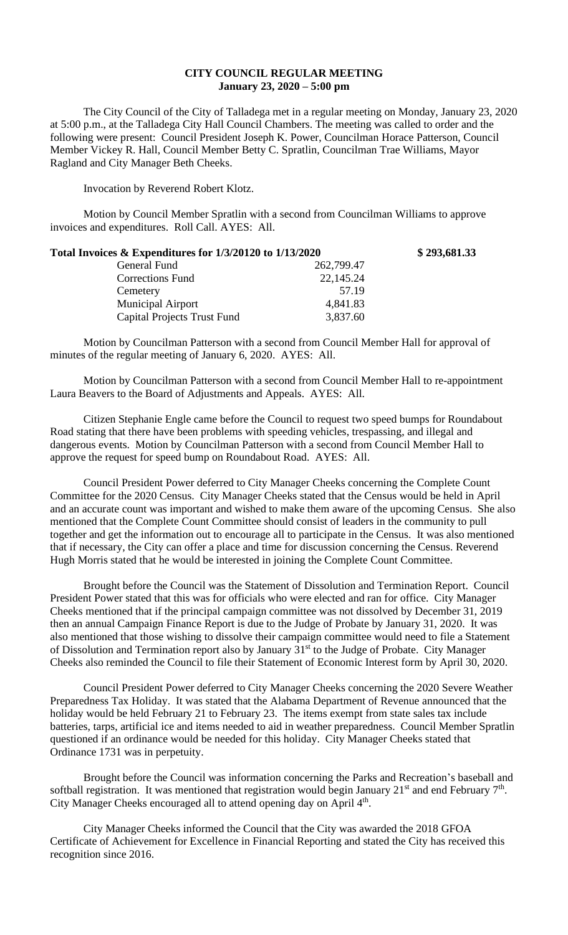## **CITY COUNCIL REGULAR MEETING January 23, 2020 – 5:00 pm**

The City Council of the City of Talladega met in a regular meeting on Monday, January 23, 2020 at 5:00 p.m., at the Talladega City Hall Council Chambers. The meeting was called to order and the following were present: Council President Joseph K. Power, Councilman Horace Patterson, Council Member Vickey R. Hall, Council Member Betty C. Spratlin, Councilman Trae Williams, Mayor Ragland and City Manager Beth Cheeks.

Invocation by Reverend Robert Klotz.

Motion by Council Member Spratlin with a second from Councilman Williams to approve invoices and expenditures. Roll Call. AYES: All.

| Total Invoices & Expenditures for 1/3/20120 to 1/13/2020 |            | \$293,681.33 |
|----------------------------------------------------------|------------|--------------|
| General Fund                                             | 262,799.47 |              |
| <b>Corrections Fund</b>                                  | 22,145.24  |              |
| Cemetery                                                 | 57.19      |              |
| <b>Municipal Airport</b>                                 | 4,841.83   |              |
| <b>Capital Projects Trust Fund</b>                       | 3,837.60   |              |

Motion by Councilman Patterson with a second from Council Member Hall for approval of minutes of the regular meeting of January 6, 2020. AYES: All.

Motion by Councilman Patterson with a second from Council Member Hall to re-appointment Laura Beavers to the Board of Adjustments and Appeals. AYES: All.

Citizen Stephanie Engle came before the Council to request two speed bumps for Roundabout Road stating that there have been problems with speeding vehicles, trespassing, and illegal and dangerous events. Motion by Councilman Patterson with a second from Council Member Hall to approve the request for speed bump on Roundabout Road. AYES: All.

Council President Power deferred to City Manager Cheeks concerning the Complete Count Committee for the 2020 Census. City Manager Cheeks stated that the Census would be held in April and an accurate count was important and wished to make them aware of the upcoming Census. She also mentioned that the Complete Count Committee should consist of leaders in the community to pull together and get the information out to encourage all to participate in the Census. It was also mentioned that if necessary, the City can offer a place and time for discussion concerning the Census. Reverend Hugh Morris stated that he would be interested in joining the Complete Count Committee.

Brought before the Council was the Statement of Dissolution and Termination Report. Council President Power stated that this was for officials who were elected and ran for office. City Manager Cheeks mentioned that if the principal campaign committee was not dissolved by December 31, 2019 then an annual Campaign Finance Report is due to the Judge of Probate by January 31, 2020. It was also mentioned that those wishing to dissolve their campaign committee would need to file a Statement of Dissolution and Termination report also by January 31<sup>st</sup> to the Judge of Probate. City Manager Cheeks also reminded the Council to file their Statement of Economic Interest form by April 30, 2020.

Council President Power deferred to City Manager Cheeks concerning the 2020 Severe Weather Preparedness Tax Holiday. It was stated that the Alabama Department of Revenue announced that the holiday would be held February 21 to February 23. The items exempt from state sales tax include batteries, tarps, artificial ice and items needed to aid in weather preparedness. Council Member Spratlin questioned if an ordinance would be needed for this holiday. City Manager Cheeks stated that Ordinance 1731 was in perpetuity.

Brought before the Council was information concerning the Parks and Recreation's baseball and softball registration. It was mentioned that registration would begin January 21<sup>st</sup> and end February  $7<sup>th</sup>$ . City Manager Cheeks encouraged all to attend opening day on April 4<sup>th</sup>.

City Manager Cheeks informed the Council that the City was awarded the 2018 GFOA Certificate of Achievement for Excellence in Financial Reporting and stated the City has received this recognition since 2016.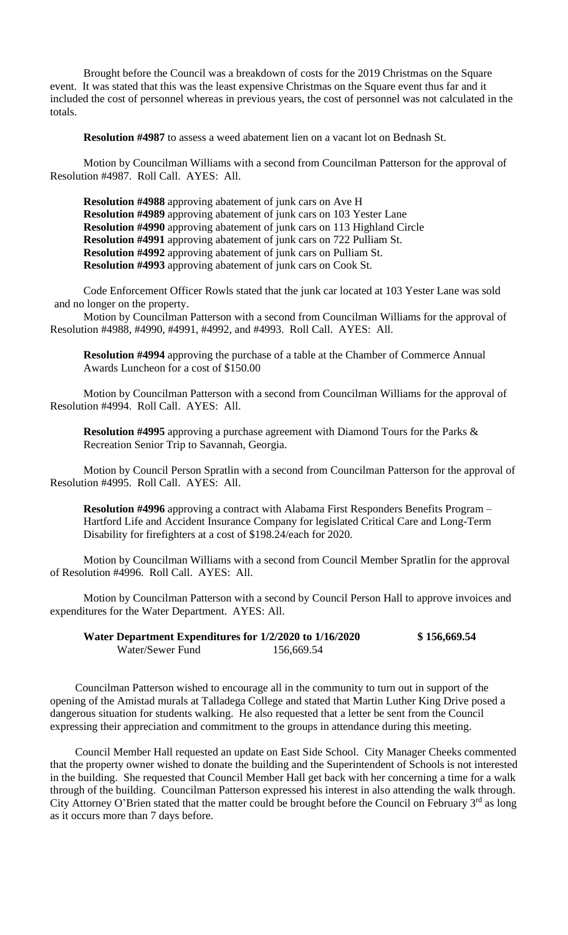Brought before the Council was a breakdown of costs for the 2019 Christmas on the Square event. It was stated that this was the least expensive Christmas on the Square event thus far and it included the cost of personnel whereas in previous years, the cost of personnel was not calculated in the totals.

**Resolution #4987** to assess a weed abatement lien on a vacant lot on Bednash St.

Motion by Councilman Williams with a second from Councilman Patterson for the approval of Resolution #4987. Roll Call. AYES: All.

**Resolution #4988** approving abatement of junk cars on Ave H **Resolution #4989** approving abatement of junk cars on 103 Yester Lane **Resolution #4990** approving abatement of junk cars on 113 Highland Circle **Resolution #4991** approving abatement of junk cars on 722 Pulliam St. **Resolution #4992** approving abatement of junk cars on Pulliam St. **Resolution #4993** approving abatement of junk cars on Cook St.

Code Enforcement Officer Rowls stated that the junk car located at 103 Yester Lane was sold and no longer on the property.

Motion by Councilman Patterson with a second from Councilman Williams for the approval of Resolution #4988, #4990, #4991, #4992, and #4993. Roll Call. AYES: All.

**Resolution #4994** approving the purchase of a table at the Chamber of Commerce Annual Awards Luncheon for a cost of \$150.00

Motion by Councilman Patterson with a second from Councilman Williams for the approval of Resolution #4994. Roll Call. AYES: All.

**Resolution #4995** approving a purchase agreement with Diamond Tours for the Parks & Recreation Senior Trip to Savannah, Georgia.

Motion by Council Person Spratlin with a second from Councilman Patterson for the approval of Resolution #4995. Roll Call. AYES: All.

**Resolution #4996** approving a contract with Alabama First Responders Benefits Program – Hartford Life and Accident Insurance Company for legislated Critical Care and Long-Term Disability for firefighters at a cost of \$198.24/each for 2020.

Motion by Councilman Williams with a second from Council Member Spratlin for the approval of Resolution #4996. Roll Call. AYES: All.

Motion by Councilman Patterson with a second by Council Person Hall to approve invoices and expenditures for the Water Department. AYES: All.

| Water Department Expenditures for 1/2/2020 to 1/16/2020 |            | \$156,669.54 |
|---------------------------------------------------------|------------|--------------|
| Water/Sewer Fund                                        | 156,669.54 |              |

Councilman Patterson wished to encourage all in the community to turn out in support of the opening of the Amistad murals at Talladega College and stated that Martin Luther King Drive posed a dangerous situation for students walking. He also requested that a letter be sent from the Council expressing their appreciation and commitment to the groups in attendance during this meeting.

Council Member Hall requested an update on East Side School. City Manager Cheeks commented that the property owner wished to donate the building and the Superintendent of Schools is not interested in the building. She requested that Council Member Hall get back with her concerning a time for a walk through of the building. Councilman Patterson expressed his interest in also attending the walk through. City Attorney O'Brien stated that the matter could be brought before the Council on February 3<sup>rd</sup> as long as it occurs more than 7 days before.